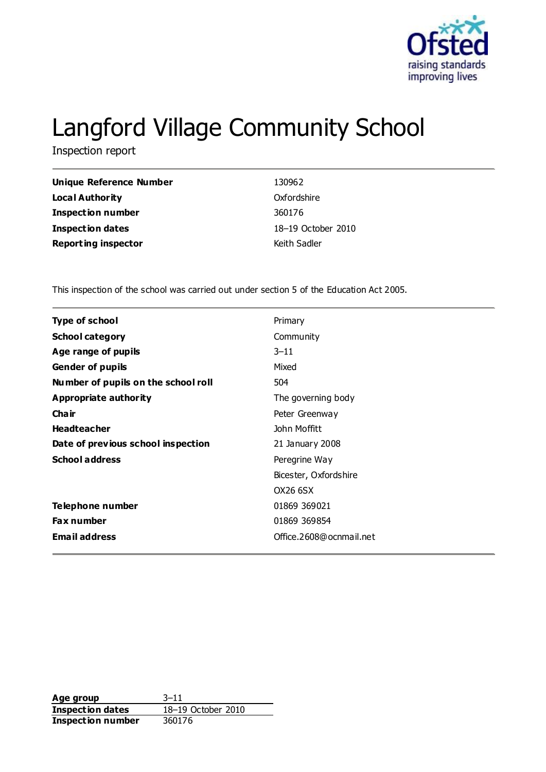

# Langford Village Community School

Inspection report

| Unique Reference Number    | 130962             |
|----------------------------|--------------------|
| Local Authority            | Oxfordshire        |
| <b>Inspection number</b>   | 360176             |
| <b>Inspection dates</b>    | 18–19 October 2010 |
| <b>Reporting inspector</b> | Keith Sadler       |

This inspection of the school was carried out under section 5 of the Education Act 2005.

| Primary                 |  |
|-------------------------|--|
| Community               |  |
| $3 - 11$                |  |
| Mixed                   |  |
| 504                     |  |
| The governing body      |  |
| Peter Greenway          |  |
| John Moffitt            |  |
| 21 January 2008         |  |
| Peregrine Way           |  |
| Bicester, Oxfordshire   |  |
| OX26 6SX                |  |
| 01869 369021            |  |
| 01869 369854            |  |
| Office.2608@ocnmail.net |  |
|                         |  |

**Age group** 3-11<br> **Inspection dates** 18-19 October 2010 **Inspection dates Inspection number** 360176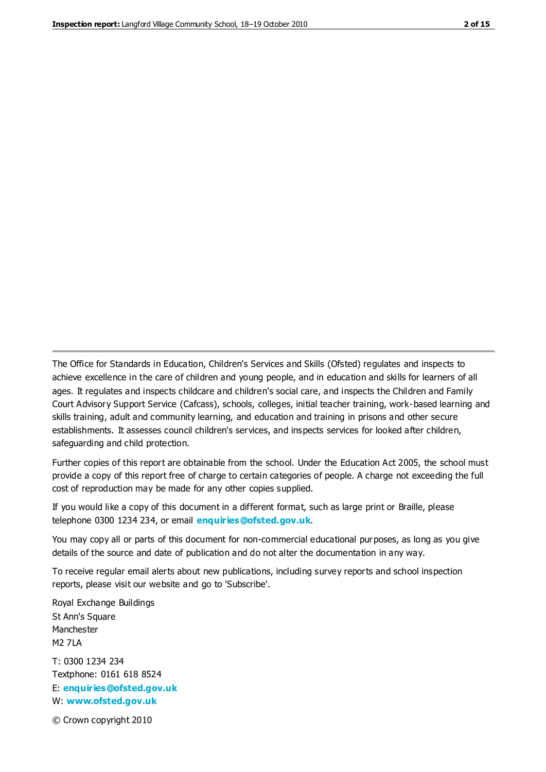The Office for Standards in Education, Children's Services and Skills (Ofsted) regulates and inspects to achieve excellence in the care of children and young people, and in education and skills for learners of all ages. It regulates and inspects childcare and children's social care, and inspects the Children and Family Court Advisory Support Service (Cafcass), schools, colleges, initial teacher training, work-based learning and skills training, adult and community learning, and education and training in prisons and other secure establishments. It assesses council children's services, and inspects services for looked after children, safeguarding and child protection.

Further copies of this report are obtainable from the school. Under the Education Act 2005, the school must provide a copy of this report free of charge to certain categories of people. A charge not exceeding the full cost of reproduction may be made for any other copies supplied.

If you would like a copy of this document in a different format, such as large print or Braille, please telephone 0300 1234 234, or email **[enquiries@ofsted.gov.uk](mailto:enquiries@ofsted.gov.uk)**.

You may copy all or parts of this document for non-commercial educational purposes, as long as you give details of the source and date of publication and do not alter the documentation in any way.

To receive regular email alerts about new publications, including survey reports and school inspection reports, please visit our website and go to 'Subscribe'.

Royal Exchange Buildings St Ann's Square Manchester M2 7LA T: 0300 1234 234 Textphone: 0161 618 8524 E: **[enquiries@ofsted.gov.uk](mailto:enquiries@ofsted.gov.uk)**

W: **[www.ofsted.gov.uk](http://www.ofsted.gov.uk/)**

© Crown copyright 2010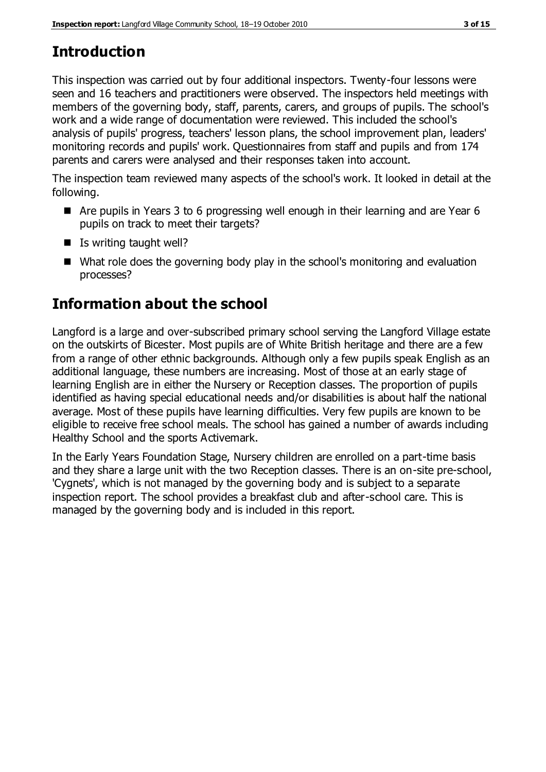# **Introduction**

This inspection was carried out by four additional inspectors. Twenty-four lessons were seen and 16 teachers and practitioners were observed. The inspectors held meetings with members of the governing body, staff, parents, carers, and groups of pupils. The school's work and a wide range of documentation were reviewed. This included the school's analysis of pupils' progress, teachers' lesson plans, the school improvement plan, leaders' monitoring records and pupils' work. Questionnaires from staff and pupils and from 174 parents and carers were analysed and their responses taken into account.

The inspection team reviewed many aspects of the school's work. It looked in detail at the following.

- Are pupils in Years 3 to 6 progressing well enough in their learning and are Year 6 pupils on track to meet their targets?
- $\blacksquare$  Is writing taught well?
- What role does the governing body play in the school's monitoring and evaluation processes?

# **Information about the school**

Langford is a large and over-subscribed primary school serving the Langford Village estate on the outskirts of Bicester. Most pupils are of White British heritage and there are a few from a range of other ethnic backgrounds. Although only a few pupils speak English as an additional language, these numbers are increasing. Most of those at an early stage of learning English are in either the Nursery or Reception classes. The proportion of pupils identified as having special educational needs and/or disabilities is about half the national average. Most of these pupils have learning difficulties. Very few pupils are known to be eligible to receive free school meals. The school has gained a number of awards including Healthy School and the sports Activemark.

In the Early Years Foundation Stage, Nursery children are enrolled on a part-time basis and they share a large unit with the two Reception classes. There is an on-site pre-school, 'Cygnets', which is not managed by the governing body and is subject to a separate inspection report. The school provides a breakfast club and after-school care. This is managed by the governing body and is included in this report.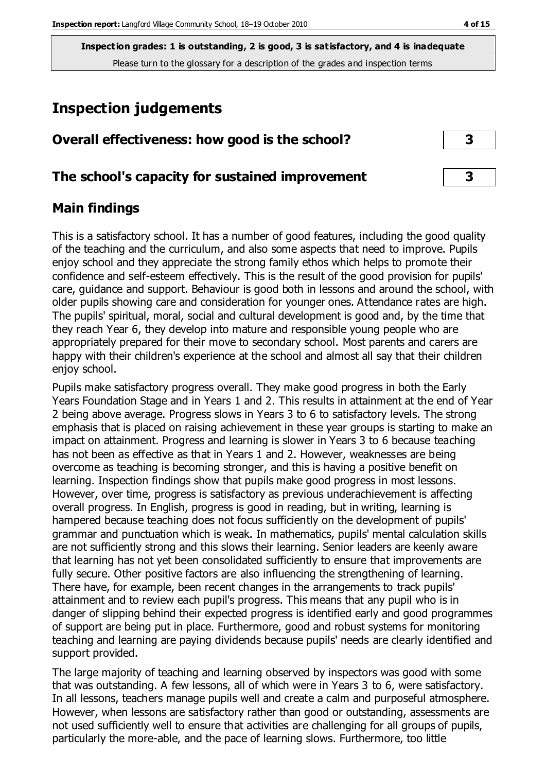### **Inspection judgements**

### **Overall effectiveness: how good is the school? 3**

### **The school's capacity for sustained improvement 3**

### **Main findings**

This is a satisfactory school. It has a number of good features, including the good quality of the teaching and the curriculum, and also some aspects that need to improve. Pupils enjoy school and they appreciate the strong family ethos which helps to promote their confidence and self-esteem effectively. This is the result of the good provision for pupils' care, guidance and support. Behaviour is good both in lessons and around the school, with older pupils showing care and consideration for younger ones. Attendance rates are high. The pupils' spiritual, moral, social and cultural development is good and, by the time that they reach Year 6, they develop into mature and responsible young people who are appropriately prepared for their move to secondary school. Most parents and carers are happy with their children's experience at the school and almost all say that their children enjoy school.

Pupils make satisfactory progress overall. They make good progress in both the Early Years Foundation Stage and in Years 1 and 2. This results in attainment at the end of Year 2 being above average. Progress slows in Years 3 to 6 to satisfactory levels. The strong emphasis that is placed on raising achievement in these year groups is starting to make an impact on attainment. Progress and learning is slower in Years 3 to 6 because teaching has not been as effective as that in Years 1 and 2. However, weaknesses are being overcome as teaching is becoming stronger, and this is having a positive benefit on learning. Inspection findings show that pupils make good progress in most lessons. However, over time, progress is satisfactory as previous underachievement is affecting overall progress. In English, progress is good in reading, but in writing, learning is hampered because teaching does not focus sufficiently on the development of pupils' grammar and punctuation which is weak. In mathematics, pupils' mental calculation skills are not sufficiently strong and this slows their learning. Senior leaders are keenly aware that learning has not yet been consolidated sufficiently to ensure that improvements are fully secure. Other positive factors are also influencing the strengthening of learning. There have, for example, been recent changes in the arrangements to track pupils' attainment and to review each pupil's progress. This means that any pupil who is in danger of slipping behind their expected progress is identified early and good programmes of support are being put in place. Furthermore, good and robust systems for monitoring teaching and learning are paying dividends because pupils' needs are clearly identified and support provided.

The large majority of teaching and learning observed by inspectors was good with some that was outstanding. A few lessons, all of which were in Years 3 to 6, were satisfactory. In all lessons, teachers manage pupils well and create a calm and purposeful atmosphere. However, when lessons are satisfactory rather than good or outstanding, assessments are not used sufficiently well to ensure that activities are challenging for all groups of pupils, particularly the more-able, and the pace of learning slows. Furthermore, too little

| 3            |  |
|--------------|--|
|              |  |
| $\mathbf{R}$ |  |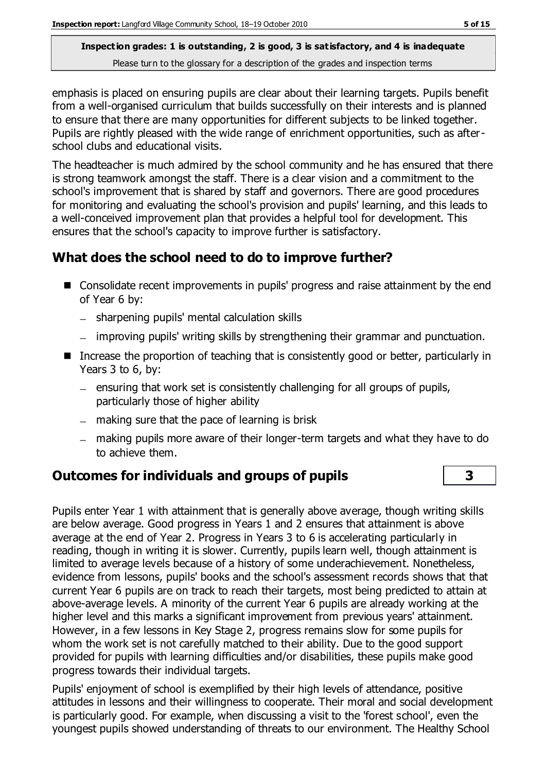emphasis is placed on ensuring pupils are clear about their learning targets. Pupils benefit from a well-organised curriculum that builds successfully on their interests and is planned to ensure that there are many opportunities for different subjects to be linked together. Pupils are rightly pleased with the wide range of enrichment opportunities, such as afterschool clubs and educational visits.

The headteacher is much admired by the school community and he has ensured that there is strong teamwork amongst the staff. There is a clear vision and a commitment to the school's improvement that is shared by staff and governors. There are good procedures for monitoring and evaluating the school's provision and pupils' learning, and this leads to a well-conceived improvement plan that provides a helpful tool for development. This ensures that the school's capacity to improve further is satisfactory.

### **What does the school need to do to improve further?**

- Consolidate recent improvements in pupils' progress and raise attainment by the end of Year 6 by:
	- sharpening pupils' mental calculation skills
	- improving pupils' writing skills by strengthening their grammar and punctuation.
- Increase the proportion of teaching that is consistently good or better, particularly in Years 3 to 6, by:
	- ensuring that work set is consistently challenging for all groups of pupils, particularly those of higher ability
	- $-$  making sure that the pace of learning is brisk
	- making pupils more aware of their longer-term targets and what they have to do to achieve them.

### **Outcomes for individuals and groups of pupils 3**

Pupils enter Year 1 with attainment that is generally above average, though writing skills are below average. Good progress in Years 1 and 2 ensures that attainment is above average at the end of Year 2. Progress in Years 3 to 6 is accelerating particularly in reading, though in writing it is slower. Currently, pupils learn well, though attainment is limited to average levels because of a history of some underachievement. Nonetheless, evidence from lessons, pupils' books and the school's assessment records shows that that current Year 6 pupils are on track to reach their targets, most being predicted to attain at above-average levels. A minority of the current Year 6 pupils are already working at the higher level and this marks a significant improvement from previous years' attainment. However, in a few lessons in Key Stage 2, progress remains slow for some pupils for whom the work set is not carefully matched to their ability. Due to the good support provided for pupils with learning difficulties and/or disabilities, these pupils make good progress towards their individual targets.

Pupils' enjoyment of school is exemplified by their high levels of attendance, positive attitudes in lessons and their willingness to cooperate. Their moral and social development is particularly good. For example, when discussing a visit to the 'forest school', even the youngest pupils showed understanding of threats to our environment. The Healthy School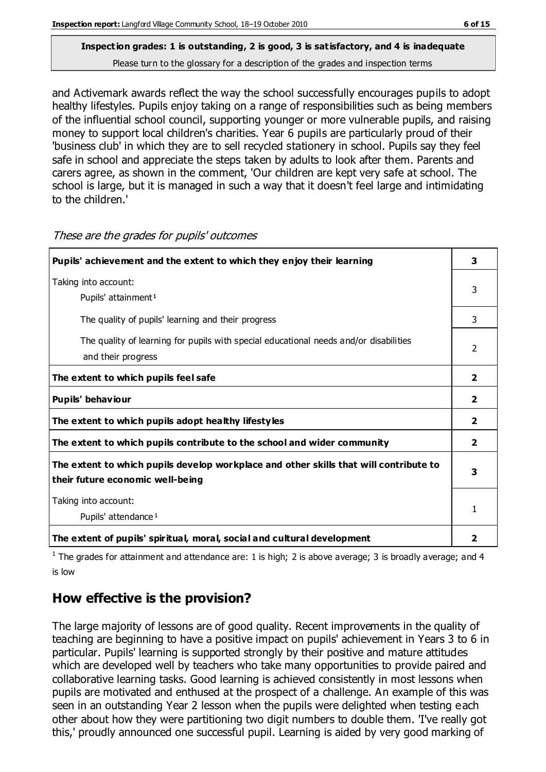and Activemark awards reflect the way the school successfully encourages pupils to adopt healthy lifestyles. Pupils enjoy taking on a range of responsibilities such as being members of the influential school council, supporting younger or more vulnerable pupils, and raising money to support local children's charities. Year 6 pupils are particularly proud of their 'business club' in which they are to sell recycled stationery in school. Pupils say they feel safe in school and appreciate the steps taken by adults to look after them. Parents and carers agree, as shown in the comment, 'Our children are kept very safe at school. The school is large, but it is managed in such a way that it doesn't feel large and intimidating

| Pupils' achievement and the extent to which they enjoy their learning                                                     | 3              |
|---------------------------------------------------------------------------------------------------------------------------|----------------|
| Taking into account:<br>Pupils' attainment <sup>1</sup>                                                                   | 3              |
| The quality of pupils' learning and their progress                                                                        | 3              |
| The quality of learning for pupils with special educational needs and/or disabilities<br>and their progress               | 2              |
| The extent to which pupils feel safe                                                                                      | 2              |
| Pupils' behaviour                                                                                                         | 2              |
| The extent to which pupils adopt healthy lifestyles                                                                       | $\overline{2}$ |
| The extent to which pupils contribute to the school and wider community                                                   | $\overline{2}$ |
| The extent to which pupils develop workplace and other skills that will contribute to<br>their future economic well-being | 3              |
| Taking into account:<br>Pupils' attendance <sup>1</sup>                                                                   |                |
| The extent of pupils' spiritual, moral, social and cultural development                                                   | 2              |

These are the grades for pupils' outcomes

to the children.'

<sup>1</sup> The grades for attainment and attendance are: 1 is high; 2 is above average; 3 is broadly average; and 4 is low

### **How effective is the provision?**

The large majority of lessons are of good quality. Recent improvements in the quality of teaching are beginning to have a positive impact on pupils' achievement in Years 3 to 6 in particular. Pupils' learning is supported strongly by their positive and mature attitudes which are developed well by teachers who take many opportunities to provide paired and collaborative learning tasks. Good learning is achieved consistently in most lessons when pupils are motivated and enthused at the prospect of a challenge. An example of this was seen in an outstanding Year 2 lesson when the pupils were delighted when testing each other about how they were partitioning two digit numbers to double them. 'I've really got this,' proudly announced one successful pupil. Learning is aided by very good marking of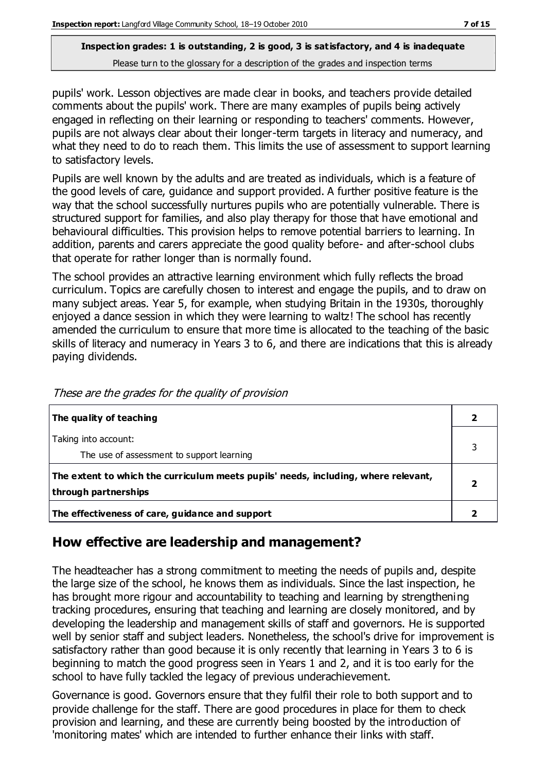pupils' work. Lesson objectives are made clear in books, and teachers provide detailed comments about the pupils' work. There are many examples of pupils being actively engaged in reflecting on their learning or responding to teachers' comments. However, pupils are not always clear about their longer-term targets in literacy and numeracy, and what they need to do to reach them. This limits the use of assessment to support learning to satisfactory levels.

Pupils are well known by the adults and are treated as individuals, which is a feature of the good levels of care, guidance and support provided. A further positive feature is the way that the school successfully nurtures pupils who are potentially vulnerable. There is structured support for families, and also play therapy for those that have emotional and behavioural difficulties. This provision helps to remove potential barriers to learning. In addition, parents and carers appreciate the good quality before- and after-school clubs that operate for rather longer than is normally found.

The school provides an attractive learning environment which fully reflects the broad curriculum. Topics are carefully chosen to interest and engage the pupils, and to draw on many subject areas. Year 5, for example, when studying Britain in the 1930s, thoroughly enjoyed a dance session in which they were learning to waltz! The school has recently amended the curriculum to ensure that more time is allocated to the teaching of the basic skills of literacy and numeracy in Years 3 to 6, and there are indications that this is already paying dividends.

| The quality of teaching                                                            |  |
|------------------------------------------------------------------------------------|--|
| Taking into account:                                                               |  |
| The use of assessment to support learning                                          |  |
| The extent to which the curriculum meets pupils' needs, including, where relevant, |  |
| through partnerships                                                               |  |
| The effectiveness of care, guidance and support                                    |  |

These are the grades for the quality of provision

### **How effective are leadership and management?**

The headteacher has a strong commitment to meeting the needs of pupils and, despite the large size of the school, he knows them as individuals. Since the last inspection, he has brought more rigour and accountability to teaching and learning by strengthening tracking procedures, ensuring that teaching and learning are closely monitored, and by developing the leadership and management skills of staff and governors. He is supported well by senior staff and subject leaders. Nonetheless, the school's drive for improvement is satisfactory rather than good because it is only recently that learning in Years 3 to 6 is beginning to match the good progress seen in Years 1 and 2, and it is too early for the school to have fully tackled the legacy of previous underachievement.

Governance is good. Governors ensure that they fulfil their role to both support and to provide challenge for the staff. There are good procedures in place for them to check provision and learning, and these are currently being boosted by the introduction of 'monitoring mates' which are intended to further enhance their links with staff.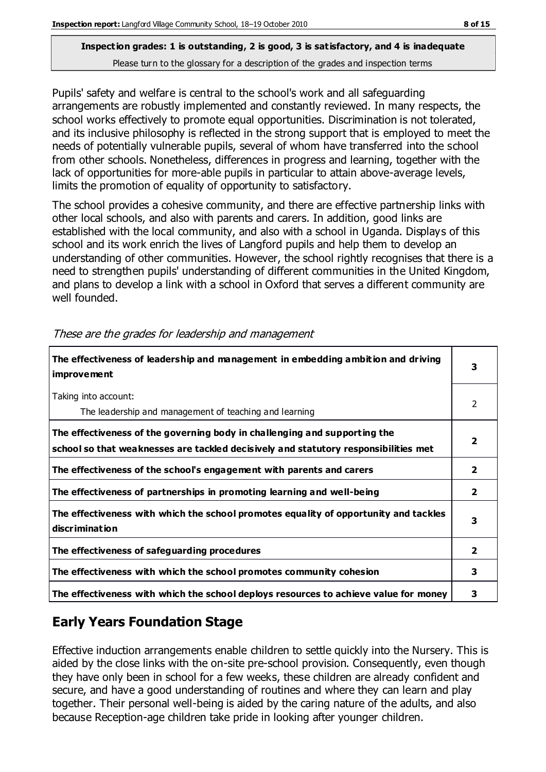Pupils' safety and welfare is central to the school's work and all safeguarding arrangements are robustly implemented and constantly reviewed. In many respects, the school works effectively to promote equal opportunities. Discrimination is not tolerated, and its inclusive philosophy is reflected in the strong support that is employed to meet the needs of potentially vulnerable pupils, several of whom have transferred into the school from other schools. Nonetheless, differences in progress and learning, together with the lack of opportunities for more-able pupils in particular to attain above-average levels, limits the promotion of equality of opportunity to satisfactory.

The school provides a cohesive community, and there are effective partnership links with other local schools, and also with parents and carers. In addition, good links are established with the local community, and also with a school in Uganda. Displays of this school and its work enrich the lives of Langford pupils and help them to develop an understanding of other communities. However, the school rightly recognises that there is a need to strengthen pupils' understanding of different communities in the United Kingdom, and plans to develop a link with a school in Oxford that serves a different community are well founded.

| The effectiveness of leadership and management in embedding ambition and driving<br><i>improvement</i>                                                           | 3              |
|------------------------------------------------------------------------------------------------------------------------------------------------------------------|----------------|
| Taking into account:<br>The leadership and management of teaching and learning                                                                                   | 2              |
| The effectiveness of the governing body in challenging and supporting the<br>school so that weaknesses are tackled decisively and statutory responsibilities met |                |
| The effectiveness of the school's engagement with parents and carers                                                                                             | $\mathbf{2}$   |
| The effectiveness of partnerships in promoting learning and well-being                                                                                           | $\overline{2}$ |
| The effectiveness with which the school promotes equality of opportunity and tackles<br>discrimination                                                           | 3              |
| The effectiveness of safeguarding procedures                                                                                                                     | $\mathbf{2}$   |
| The effectiveness with which the school promotes community cohesion                                                                                              | 3              |
| The effectiveness with which the school deploys resources to achieve value for money                                                                             | 3              |

These are the grades for leadership and management

# **Early Years Foundation Stage**

Effective induction arrangements enable children to settle quickly into the Nursery. This is aided by the close links with the on-site pre-school provision. Consequently, even though they have only been in school for a few weeks, these children are already confident and secure, and have a good understanding of routines and where they can learn and play together. Their personal well-being is aided by the caring nature of the adults, and also because Reception-age children take pride in looking after younger children.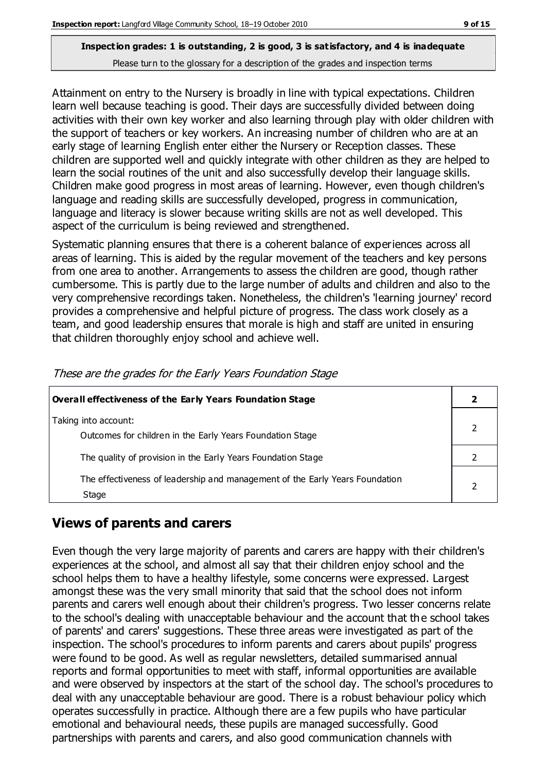Attainment on entry to the Nursery is broadly in line with typical expectations. Children learn well because teaching is good. Their days are successfully divided between doing activities with their own key worker and also learning through play with older children with the support of teachers or key workers. An increasing number of children who are at an early stage of learning English enter either the Nursery or Reception classes. These children are supported well and quickly integrate with other children as they are helped to learn the social routines of the unit and also successfully develop their language skills. Children make good progress in most areas of learning. However, even though children's language and reading skills are successfully developed, progress in communication, language and literacy is slower because writing skills are not as well developed. This aspect of the curriculum is being reviewed and strengthened.

Systematic planning ensures that there is a coherent balance of experiences across all areas of learning. This is aided by the regular movement of the teachers and key persons from one area to another. Arrangements to assess the children are good, though rather cumbersome. This is partly due to the large number of adults and children and also to the very comprehensive recordings taken. Nonetheless, the children's 'learning journey' record provides a comprehensive and helpful picture of progress. The class work closely as a team, and good leadership ensures that morale is high and staff are united in ensuring that children thoroughly enjoy school and achieve well.

| <b>Overall effectiveness of the Early Years Foundation Stage</b>                      |  |
|---------------------------------------------------------------------------------------|--|
| Taking into account:<br>Outcomes for children in the Early Years Foundation Stage     |  |
| The quality of provision in the Early Years Foundation Stage                          |  |
| The effectiveness of leadership and management of the Early Years Foundation<br>Stage |  |

These are the grades for the Early Years Foundation Stage

### **Views of parents and carers**

Even though the very large majority of parents and carers are happy with their children's experiences at the school, and almost all say that their children enjoy school and the school helps them to have a healthy lifestyle, some concerns were expressed. Largest amongst these was the very small minority that said that the school does not inform parents and carers well enough about their children's progress. Two lesser concerns relate to the school's dealing with unacceptable behaviour and the account that the school takes of parents' and carers' suggestions. These three areas were investigated as part of the inspection. The school's procedures to inform parents and carers about pupils' progress were found to be good. As well as regular newsletters, detailed summarised annual reports and formal opportunities to meet with staff, informal opportunities are available and were observed by inspectors at the start of the school day. The school's procedures to deal with any unacceptable behaviour are good. There is a robust behaviour policy which operates successfully in practice. Although there are a few pupils who have particular emotional and behavioural needs, these pupils are managed successfully. Good partnerships with parents and carers, and also good communication channels with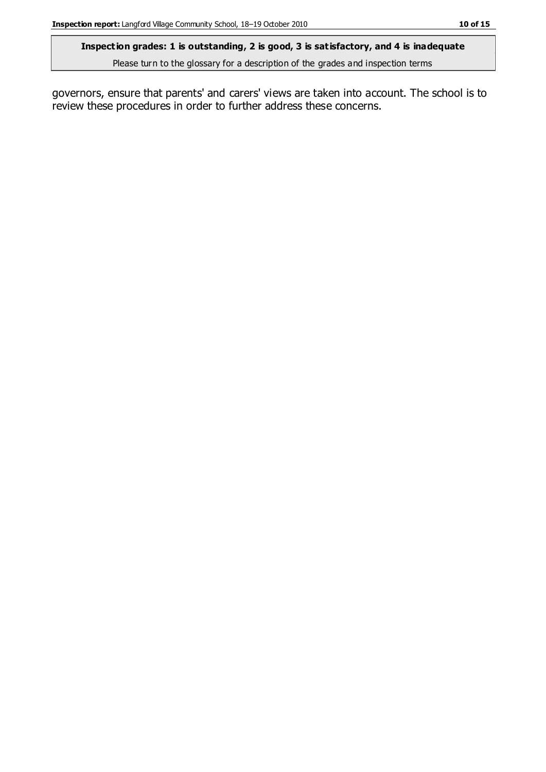#### **Inspection grades: 1 is outstanding, 2 is good, 3 is satisfactory, and 4 is inadequate**

Please turn to the glossary for a description of the grades and inspection terms

governors, ensure that parents' and carers' views are taken into account. The school is to review these procedures in order to further address these concerns.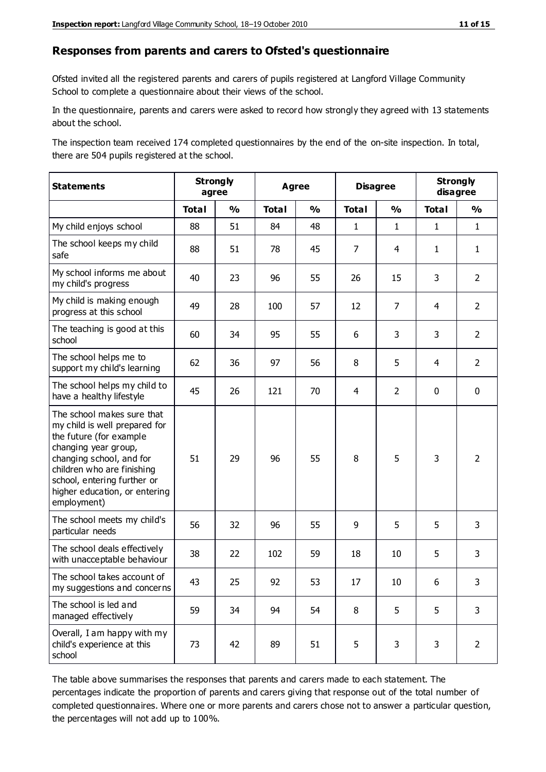#### **Responses from parents and carers to Ofsted's questionnaire**

Ofsted invited all the registered parents and carers of pupils registered at Langford Village Community School to complete a questionnaire about their views of the school.

In the questionnaire, parents and carers were asked to record how strongly they agreed with 13 statements about the school.

The inspection team received 174 completed questionnaires by the end of the on-site inspection. In total, there are 504 pupils registered at the school.

| <b>Statements</b>                                                                                                                                                                                                                                       |              | <b>Strongly</b><br>agree | <b>Agree</b> |               | <b>Disagree</b> |                | <b>Strongly</b><br>disagree |                |
|---------------------------------------------------------------------------------------------------------------------------------------------------------------------------------------------------------------------------------------------------------|--------------|--------------------------|--------------|---------------|-----------------|----------------|-----------------------------|----------------|
|                                                                                                                                                                                                                                                         | <b>Total</b> | $\frac{1}{2}$            | <b>Total</b> | $\frac{1}{2}$ | <b>Total</b>    | $\frac{1}{2}$  | <b>Total</b>                | $\frac{1}{2}$  |
| My child enjoys school                                                                                                                                                                                                                                  | 88           | 51                       | 84           | 48            | 1               | $\mathbf{1}$   | $\mathbf{1}$                | $\mathbf{1}$   |
| The school keeps my child<br>safe                                                                                                                                                                                                                       | 88           | 51                       | 78           | 45            | $\overline{7}$  | 4              | 1                           | $\mathbf{1}$   |
| My school informs me about<br>my child's progress                                                                                                                                                                                                       | 40           | 23                       | 96           | 55            | 26              | 15             | 3                           | $\overline{2}$ |
| My child is making enough<br>progress at this school                                                                                                                                                                                                    | 49           | 28                       | 100          | 57            | 12              | $\overline{7}$ | 4                           | $\overline{2}$ |
| The teaching is good at this<br>school                                                                                                                                                                                                                  | 60           | 34                       | 95           | 55            | 6               | 3              | 3                           | $\overline{2}$ |
| The school helps me to<br>support my child's learning                                                                                                                                                                                                   | 62           | 36                       | 97           | 56            | 8               | 5              | 4                           | $\overline{2}$ |
| The school helps my child to<br>have a healthy lifestyle                                                                                                                                                                                                | 45           | 26                       | 121          | 70            | 4               | $\overline{2}$ | 0                           | $\pmb{0}$      |
| The school makes sure that<br>my child is well prepared for<br>the future (for example<br>changing year group,<br>changing school, and for<br>children who are finishing<br>school, entering further or<br>higher education, or entering<br>employment) | 51           | 29                       | 96           | 55            | 8               | 5              | 3                           | $\overline{2}$ |
| The school meets my child's<br>particular needs                                                                                                                                                                                                         | 56           | 32                       | 96           | 55            | 9               | 5              | 5                           | 3              |
| The school deals effectively<br>with unacceptable behaviour                                                                                                                                                                                             | 38           | 22                       | 102          | 59            | 18              | 10             | 5                           | 3              |
| The school takes account of<br>my suggestions and concerns                                                                                                                                                                                              | 43           | 25                       | 92           | 53            | 17              | 10             | 6                           | 3              |
| The school is led and<br>managed effectively                                                                                                                                                                                                            | 59           | 34                       | 94           | 54            | 8               | 5              | 5                           | 3              |
| Overall, I am happy with my<br>child's experience at this<br>school                                                                                                                                                                                     | 73           | 42                       | 89           | 51            | 5               | 3              | 3                           | $\overline{2}$ |

The table above summarises the responses that parents and carers made to each statement. The percentages indicate the proportion of parents and carers giving that response out of the total number of completed questionnaires. Where one or more parents and carers chose not to answer a particular question, the percentages will not add up to 100%.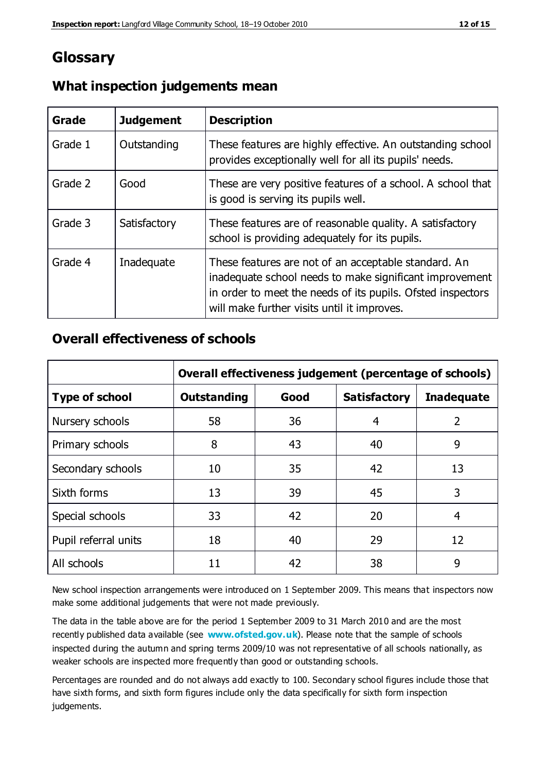# **Glossary**

| Grade   | <b>Judgement</b> | <b>Description</b>                                                                                                                                                                                                            |
|---------|------------------|-------------------------------------------------------------------------------------------------------------------------------------------------------------------------------------------------------------------------------|
| Grade 1 | Outstanding      | These features are highly effective. An outstanding school<br>provides exceptionally well for all its pupils' needs.                                                                                                          |
| Grade 2 | Good             | These are very positive features of a school. A school that<br>is good is serving its pupils well.                                                                                                                            |
| Grade 3 | Satisfactory     | These features are of reasonable quality. A satisfactory<br>school is providing adequately for its pupils.                                                                                                                    |
| Grade 4 | Inadequate       | These features are not of an acceptable standard. An<br>inadequate school needs to make significant improvement<br>in order to meet the needs of its pupils. Ofsted inspectors<br>will make further visits until it improves. |

### **What inspection judgements mean**

### **Overall effectiveness of schools**

|                       | Overall effectiveness judgement (percentage of schools) |      |                     |                   |
|-----------------------|---------------------------------------------------------|------|---------------------|-------------------|
| <b>Type of school</b> | <b>Outstanding</b>                                      | Good | <b>Satisfactory</b> | <b>Inadequate</b> |
| Nursery schools       | 58                                                      | 36   | 4                   | 2                 |
| Primary schools       | 8                                                       | 43   | 40                  | 9                 |
| Secondary schools     | 10                                                      | 35   | 42                  | 13                |
| Sixth forms           | 13                                                      | 39   | 45                  | 3                 |
| Special schools       | 33                                                      | 42   | 20                  | 4                 |
| Pupil referral units  | 18                                                      | 40   | 29                  | 12                |
| All schools           | 11                                                      | 42   | 38                  | 9                 |

New school inspection arrangements were introduced on 1 September 2009. This means that inspectors now make some additional judgements that were not made previously.

The data in the table above are for the period 1 September 2009 to 31 March 2010 and are the most recently published data available (see **[www.ofsted.gov.uk](http://www.ofsted.gov.uk/)**). Please note that the sample of schools inspected during the autumn and spring terms 2009/10 was not representative of all schools nationally, as weaker schools are inspected more frequently than good or outstanding schools.

Percentages are rounded and do not always add exactly to 100. Secondary school figures include those that have sixth forms, and sixth form figures include only the data specifically for sixth form inspection judgements.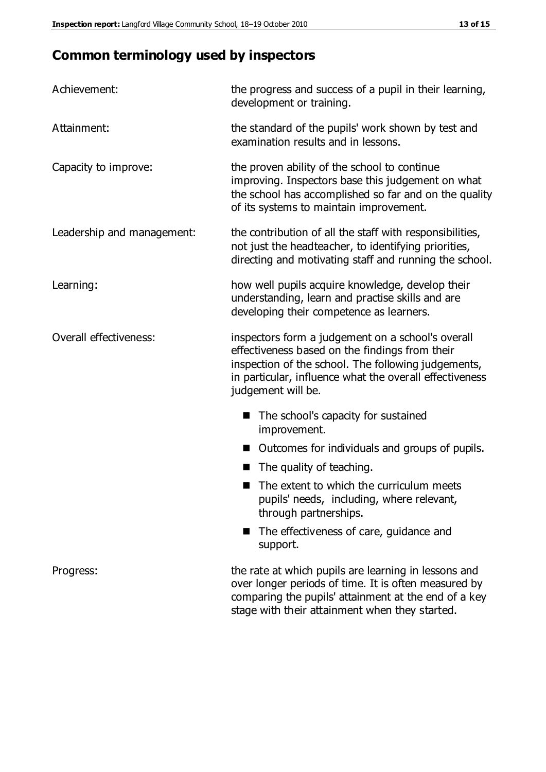# **Common terminology used by inspectors**

| Achievement:               | the progress and success of a pupil in their learning,<br>development or training.                                                                                                                                                          |  |  |
|----------------------------|---------------------------------------------------------------------------------------------------------------------------------------------------------------------------------------------------------------------------------------------|--|--|
| Attainment:                | the standard of the pupils' work shown by test and<br>examination results and in lessons.                                                                                                                                                   |  |  |
| Capacity to improve:       | the proven ability of the school to continue<br>improving. Inspectors base this judgement on what<br>the school has accomplished so far and on the quality<br>of its systems to maintain improvement.                                       |  |  |
| Leadership and management: | the contribution of all the staff with responsibilities,<br>not just the headteacher, to identifying priorities,<br>directing and motivating staff and running the school.                                                                  |  |  |
| Learning:                  | how well pupils acquire knowledge, develop their<br>understanding, learn and practise skills and are<br>developing their competence as learners.                                                                                            |  |  |
| Overall effectiveness:     | inspectors form a judgement on a school's overall<br>effectiveness based on the findings from their<br>inspection of the school. The following judgements,<br>in particular, influence what the overall effectiveness<br>judgement will be. |  |  |
|                            | The school's capacity for sustained<br>improvement.                                                                                                                                                                                         |  |  |
|                            | Outcomes for individuals and groups of pupils.                                                                                                                                                                                              |  |  |
|                            | The quality of teaching.                                                                                                                                                                                                                    |  |  |
|                            | The extent to which the curriculum meets<br>pupils' needs, including, where relevant,<br>through partnerships.                                                                                                                              |  |  |
|                            | The effectiveness of care, guidance and<br>support.                                                                                                                                                                                         |  |  |
| Progress:                  | the rate at which pupils are learning in lessons and<br>over longer periods of time. It is often measured by<br>comparing the pupils' attainment at the end of a key                                                                        |  |  |

stage with their attainment when they started.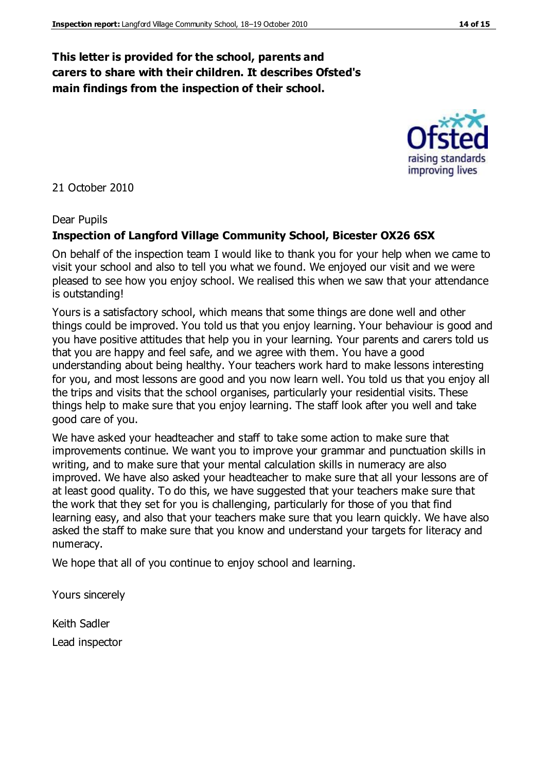### **This letter is provided for the school, parents and carers to share with their children. It describes Ofsted's main findings from the inspection of their school.**

#### 21 October 2010

#### Dear Pupils

#### **Inspection of Langford Village Community School, Bicester OX26 6SX**

On behalf of the inspection team I would like to thank you for your help when we came to visit your school and also to tell you what we found. We enjoyed our visit and we were pleased to see how you enjoy school. We realised this when we saw that your attendance is outstanding!

Yours is a satisfactory school, which means that some things are done well and other things could be improved. You told us that you enjoy learning. Your behaviour is good and you have positive attitudes that help you in your learning. Your parents and carers told us that you are happy and feel safe, and we agree with them. You have a good understanding about being healthy. Your teachers work hard to make lessons interesting for you, and most lessons are good and you now learn well. You told us that you enjoy all the trips and visits that the school organises, particularly your residential visits. These things help to make sure that you enjoy learning. The staff look after you well and take good care of you.

We have asked your headteacher and staff to take some action to make sure that improvements continue. We want you to improve your grammar and punctuation skills in writing, and to make sure that your mental calculation skills in numeracy are also improved. We have also asked your headteacher to make sure that all your lessons are of at least good quality. To do this, we have suggested that your teachers make sure that the work that they set for you is challenging, particularly for those of you that find learning easy, and also that your teachers make sure that you learn quickly. We have also asked the staff to make sure that you know and understand your targets for literacy and numeracy.

We hope that all of you continue to enjoy school and learning.

Yours sincerely

Keith Sadler Lead inspector